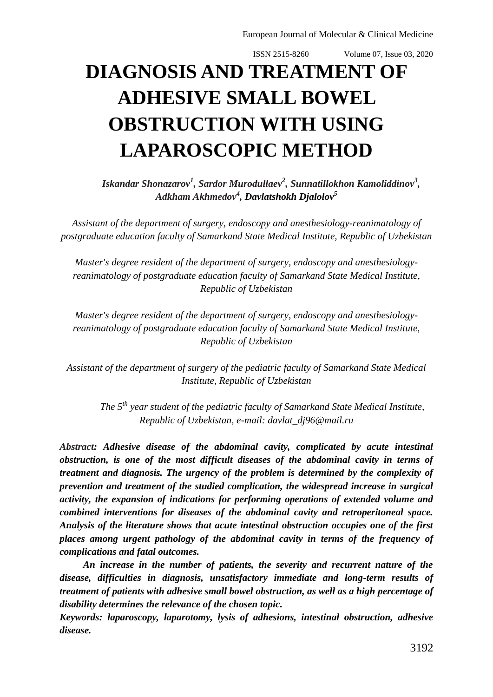## **DIAGNOSIS AND TREATMENT OF ADHESIVE SMALL BOWEL OBSTRUCTION WITH USING LAPAROSCOPIC METHOD**

*Iskandar Shonazarov<sup>1</sup> , Sardor Murodullaev<sup>2</sup> , Sunnatillokhon Kamoliddinov<sup>3</sup> , Adkham Akhmedov<sup>4</sup> , Davlatshokh Djalolov<sup>5</sup>*

*Assistant of the department of surgery, endoscopy and anesthesiology-reanimatology of postgraduate education faculty of Samarkand State Medical Institute, Republic of Uzbekistan*

*Master's degree resident of the department of surgery, endoscopy and anesthesiologyreanimatology of postgraduate education faculty of Samarkand State Medical Institute, Republic of Uzbekistan*

*Master's degree resident of the department of surgery, endoscopy and anesthesiologyreanimatology of postgraduate education faculty of Samarkand State Medical Institute, Republic of Uzbekistan*

*Assistant of the department of surgery of the pediatric faculty of Samarkand State Medical Institute, Republic of Uzbekistan*

*The 5th year student of the pediatric faculty of Samarkand State Medical Institute, Republic of Uzbekistan, e-mail: [davlat\\_dj96@mail.ru](mailto:davlat_dj96@mail.ru)*

*Abstract: Adhesive disease of the abdominal cavity, complicated by acute intestinal obstruction, is one of the most difficult diseases of the abdominal cavity in terms of treatment and diagnosis. The urgency of the problem is determined by the complexity of prevention and treatment of the studied complication, the widespread increase in surgical activity, the expansion of indications for performing operations of extended volume and combined interventions for diseases of the abdominal cavity and retroperitoneal space. Analysis of the literature shows that acute intestinal obstruction occupies one of the first places among urgent pathology of the abdominal cavity in terms of the frequency of complications and fatal outcomes.*

*An increase in the number of patients, the severity and recurrent nature of the disease, difficulties in diagnosis, unsatisfactory immediate and long-term results of treatment of patients with adhesive small bowel obstruction, as well as a high percentage of disability determines the relevance of the chosen topic.*

*Keywords: laparoscopy, laparotomy, lysis of adhesions, intestinal obstruction, adhesive disease.*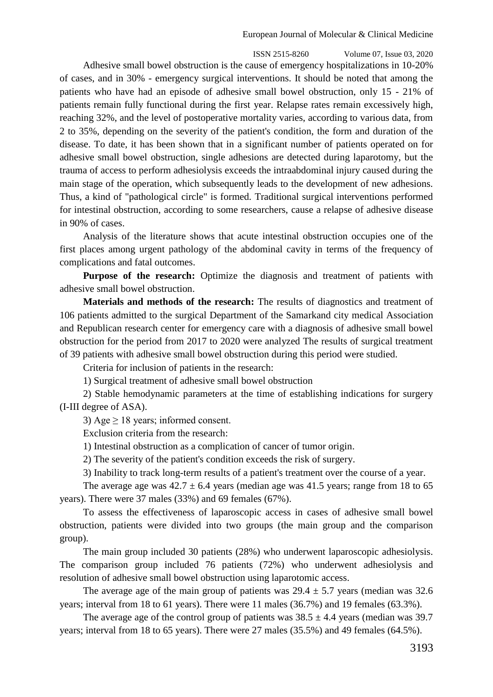ISSN 2515-8260 Volume 07, Issue 03, 2020 Adhesive small bowel obstruction is the cause of emergency hospitalizations in 10-20% of cases, and in 30% - emergency surgical interventions. It should be noted that among the patients who have had an episode of adhesive small bowel obstruction, only 15 - 21% of patients remain fully functional during the first year. Relapse rates remain excessively high, reaching 32%, and the level of postoperative mortality varies, according to various data, from 2 to 35%, depending on the severity of the patient's condition, the form and duration of the disease. To date, it has been shown that in a significant number of patients operated on for adhesive small bowel obstruction, single adhesions are detected during laparotomy, but the trauma of access to perform adhesiolysis exceeds the intraabdominal injury caused during the main stage of the operation, which subsequently leads to the development of new adhesions. Thus, a kind of "pathological circle" is formed. Traditional surgical interventions performed for intestinal obstruction, according to some researchers, cause a relapse of adhesive disease in 90% of cases.

Analysis of the literature shows that acute intestinal obstruction occupies one of the first places among urgent pathology of the abdominal cavity in terms of the frequency of complications and fatal outcomes.

**Purpose of the research:** Optimize the diagnosis and treatment of patients with adhesive small bowel obstruction.

**Materials and methods of the research:** The results of diagnostics and treatment of 106 patients admitted to the surgical Department of the Samarkand city medical Association and Republican research center for emergency care with a diagnosis of adhesive small bowel obstruction for the period from 2017 to 2020 were analyzed The results of surgical treatment of 39 patients with adhesive small bowel obstruction during this period were studied.

Criteria for inclusion of patients in the research:

1) Surgical treatment of adhesive small bowel obstruction

2) Stable hemodynamic parameters at the time of establishing indications for surgery (I-III degree of ASA).

3) Age  $\geq$  18 years; informed consent.

Exclusion criteria from the research:

1) Intestinal obstruction as a complication of cancer of tumor origin.

2) The severity of the patient's condition exceeds the risk of surgery.

3) Inability to track long-term results of a patient's treatment over the course of a year.

The average age was  $42.7 \pm 6.4$  years (median age was 41.5 years; range from 18 to 65 years). There were 37 males (33%) and 69 females (67%).

To assess the effectiveness of laparoscopic access in cases of adhesive small bowel obstruction, patients were divided into two groups (the main group and the comparison group).

The main group included 30 patients (28%) who underwent laparoscopic adhesiolysis. The comparison group included 76 patients (72%) who underwent adhesiolysis and resolution of adhesive small bowel obstruction using laparotomic access.

The average age of the main group of patients was  $29.4 \pm 5.7$  years (median was 32.6) years; interval from 18 to 61 years). There were 11 males (36.7%) and 19 females (63.3%).

The average age of the control group of patients was  $38.5 \pm 4.4$  years (median was 39.7 years; interval from 18 to 65 years). There were 27 males (35.5%) and 49 females (64.5%).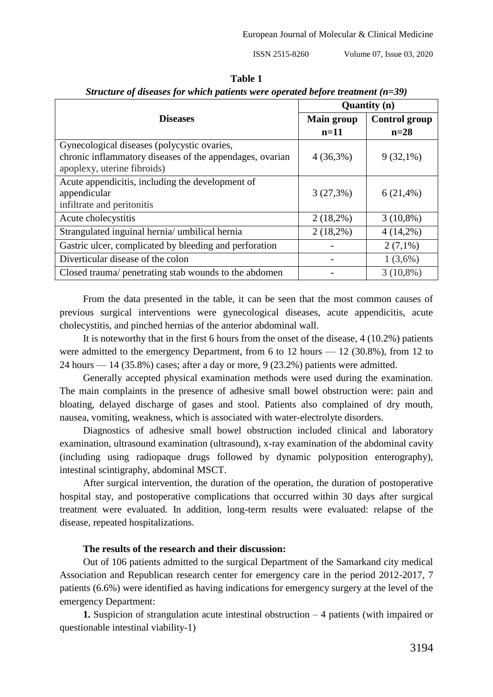| וחו     |  |
|---------|--|
| r.<br>× |  |

|                                                          | <b>Quantity</b> (n) |                      |  |
|----------------------------------------------------------|---------------------|----------------------|--|
| <b>Diseases</b>                                          | <b>Main group</b>   | <b>Control group</b> |  |
|                                                          | $n=11$              | $n=28$               |  |
| Gynecological diseases (polycystic ovaries,              |                     |                      |  |
| chronic inflammatory diseases of the appendages, ovarian | $4(36,3\%)$         | $9(32,1\%)$          |  |
| apoplexy, uterine fibroids)                              |                     |                      |  |
| Acute appendicitis, including the development of         |                     |                      |  |
| appendicular                                             | $3(27,3\%)$         | $6(21,4\%)$          |  |
| infiltrate and peritonitis                               |                     |                      |  |
| Acute cholecystitis                                      | $2(18,2\%)$         | $3(10,8\%)$          |  |
| Strangulated inguinal hernia/ umbilical hernia           | $2(18,2\%)$         | $4(14,2\%)$          |  |
| Gastric ulcer, complicated by bleeding and perforation   |                     | $2(7,1\%)$           |  |
| Diverticular disease of the colon                        |                     | $1(3,6\%)$           |  |
| Closed trauma/ penetrating stab wounds to the abdomen    |                     | $3(10,8\%)$          |  |

*Structure of diseases for which patients were operated before treatment (n=39)*

From the data presented in the table, it can be seen that the most common causes of previous surgical interventions were gynecological diseases, acute appendicitis, acute cholecystitis, and pinched hernias of the anterior abdominal wall.

It is noteworthy that in the first 6 hours from the onset of the disease, 4 (10.2%) patients were admitted to the emergency Department, from 6 to 12 hours — 12 (30.8%), from 12 to 24 hours — 14 (35.8%) cases; after a day or more, 9 (23.2%) patients were admitted.

Generally accepted physical examination methods were used during the examination. The main complaints in the presence of adhesive small bowel obstruction were: pain and bloating, delayed discharge of gases and stool. Patients also complained of dry mouth, nausea, vomiting, weakness, which is associated with water-electrolyte disorders.

Diagnostics of adhesive small bowel obstruction included clinical and laboratory examination, ultrasound examination (ultrasound), x-ray examination of the abdominal cavity (including using radiopaque drugs followed by dynamic polyposition enterography), intestinal scintigraphy, abdominal MSCT.

After surgical intervention, the duration of the operation, the duration of postoperative hospital stay, and postoperative complications that occurred within 30 days after surgical treatment were evaluated. In addition, long-term results were evaluated: relapse of the disease, repeated hospitalizations.

## **The results of the research and their discussion:**

Out of 106 patients admitted to the surgical Department of the Samarkand city medical Association and Republican research center for emergency care in the period 2012-2017, 7 patients (6.6%) were identified as having indications for emergency surgery at the level of the emergency Department:

**1.** Suspicion of strangulation acute intestinal obstruction – 4 patients (with impaired or questionable intestinal viability-1)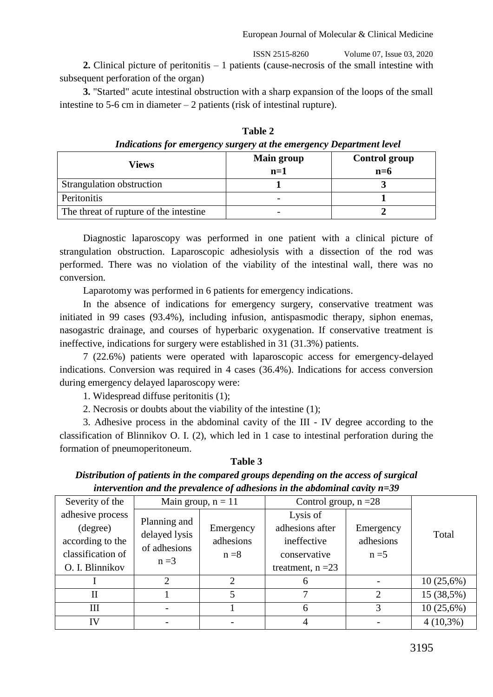**2.** Clinical picture of peritonitis – 1 patients (cause-necrosis of the small intestine with subsequent perforation of the organ)

**3.** "Started" acute intestinal obstruction with a sharp expansion of the loops of the small intestine to 5-6 cm in diameter – 2 patients (risk of intestinal rupture).

| Views                                  | <b>Main group</b><br>$n=1$ | <b>Control group</b><br>$n=6$ |  |  |
|----------------------------------------|----------------------------|-------------------------------|--|--|
| Strangulation obstruction              |                            |                               |  |  |
| Peritonitis                            |                            |                               |  |  |
| The threat of rupture of the intestine |                            |                               |  |  |

**Table 2** *Indications for emergency surgery at the emergency Department level*

Diagnostic laparoscopy was performed in one patient with a clinical picture of strangulation obstruction. Laparoscopic adhesiolysis with a dissection of the rod was performed. There was no violation of the viability of the intestinal wall, there was no conversion.

Laparotomy was performed in 6 patients for emergency indications.

In the absence of indications for emergency surgery, conservative treatment was initiated in 99 cases (93.4%), including infusion, antispasmodic therapy, siphon enemas, nasogastric drainage, and courses of hyperbaric oxygenation. If conservative treatment is ineffective, indications for surgery were established in 31 (31.3%) patients.

7 (22.6%) patients were operated with laparoscopic access for emergency-delayed indications. Conversion was required in 4 cases (36.4%). Indications for access conversion during emergency delayed laparoscopy were:

1. Widespread diffuse peritonitis (1);

2. Necrosis or doubts about the viability of the intestine (1);

3. Adhesive process in the abdominal cavity of the III - IV degree according to the classification of Blinnikov O. I. (2), which led in 1 case to intestinal perforation during the formation of pneumoperitoneum.

**Table 3** *Distribution of patients in the compared groups depending on the access of surgical intervention and the prevalence of adhesions in the abdominal cavity n=39*

| Severity of the                                                                          | Main group, $n = 11$                                     |                                   | Control group, $n = 28$                                                           |                                   |             |
|------------------------------------------------------------------------------------------|----------------------------------------------------------|-----------------------------------|-----------------------------------------------------------------------------------|-----------------------------------|-------------|
| adhesive process<br>(degree)<br>according to the<br>classification of<br>O. I. Blinnikov | Planning and<br>delayed lysis<br>of adhesions<br>$n = 3$ | Emergency<br>adhesions<br>$n = 8$ | Lysis of<br>adhesions after<br>ineffective<br>conservative<br>treatment, $n = 23$ | Emergency<br>adhesions<br>$n = 5$ | Total       |
|                                                                                          |                                                          | っ                                 | <sub>0</sub>                                                                      |                                   | 10(25,6%)   |
| $_{\rm II}$                                                                              |                                                          |                                   |                                                                                   | $\mathcal{D}$                     | 15 (38,5%)  |
| Ш                                                                                        |                                                          |                                   | 6                                                                                 | 3                                 | 10(25,6%)   |
| IV                                                                                       |                                                          |                                   |                                                                                   |                                   | $4(10,3\%)$ |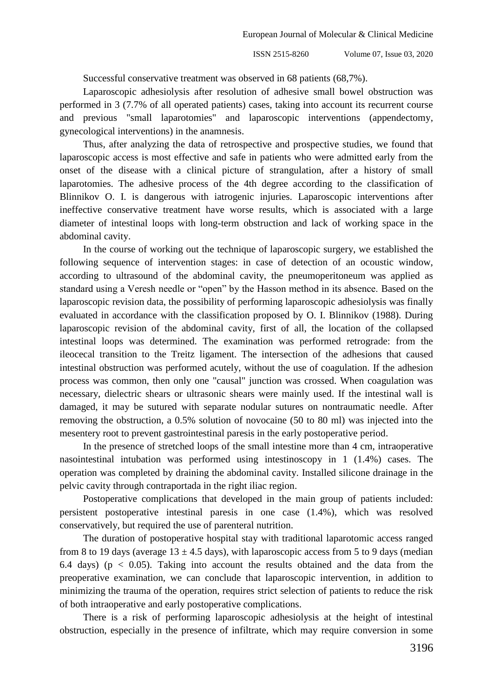Successful conservative treatment was observed in 68 patients (68,7%).

Laparoscopic adhesiolysis after resolution of adhesive small bowel obstruction was performed in 3 (7.7% of all operated patients) cases, taking into account its recurrent course and previous "small laparotomies" and laparoscopic interventions (appendectomy, gynecological interventions) in the anamnesis.

Thus, after analyzing the data of retrospective and prospective studies, we found that laparoscopic access is most effective and safe in patients who were admitted early from the onset of the disease with a clinical picture of strangulation, after a history of small laparotomies. The adhesive process of the 4th degree according to the classification of Blinnikov O. I. is dangerous with iatrogenic injuries. Laparoscopic interventions after ineffective conservative treatment have worse results, which is associated with a large diameter of intestinal loops with long-term obstruction and lack of working space in the abdominal cavity.

In the course of working out the technique of laparoscopic surgery, we established the following sequence of intervention stages: in case of detection of an ocoustic window, according to ultrasound of the abdominal cavity, the pneumoperitoneum was applied as standard using a Veresh needle or "open" by the Hasson method in its absence. Based on the laparoscopic revision data, the possibility of performing laparoscopic adhesiolysis was finally evaluated in accordance with the classification proposed by O. I. Blinnikov (1988). During laparoscopic revision of the abdominal cavity, first of all, the location of the collapsed intestinal loops was determined. The examination was performed retrograde: from the ileocecal transition to the Treitz ligament. The intersection of the adhesions that caused intestinal obstruction was performed acutely, without the use of coagulation. If the adhesion process was common, then only one "causal" junction was crossed. When coagulation was necessary, dielectric shears or ultrasonic shears were mainly used. If the intestinal wall is damaged, it may be sutured with separate nodular sutures on nontraumatic needle. After removing the obstruction, a 0.5% solution of novocaine (50 to 80 ml) was injected into the mesentery root to prevent gastrointestinal paresis in the early postoperative period.

In the presence of stretched loops of the small intestine more than 4 cm, intraoperative nasointestinal intubation was performed using intestinoscopy in 1 (1.4%) cases. The operation was completed by draining the abdominal cavity. Installed silicone drainage in the pelvic cavity through contraportada in the right iliac region.

Postoperative complications that developed in the main group of patients included: persistent postoperative intestinal paresis in one case (1.4%), which was resolved conservatively, but required the use of parenteral nutrition.

The duration of postoperative hospital stay with traditional laparotomic access ranged from 8 to 19 days (average  $13 \pm 4.5$  days), with laparoscopic access from 5 to 9 days (median 6.4 days) ( $p < 0.05$ ). Taking into account the results obtained and the data from the preoperative examination, we can conclude that laparoscopic intervention, in addition to minimizing the trauma of the operation, requires strict selection of patients to reduce the risk of both intraoperative and early postoperative complications.

There is a risk of performing laparoscopic adhesiolysis at the height of intestinal obstruction, especially in the presence of infiltrate, which may require conversion in some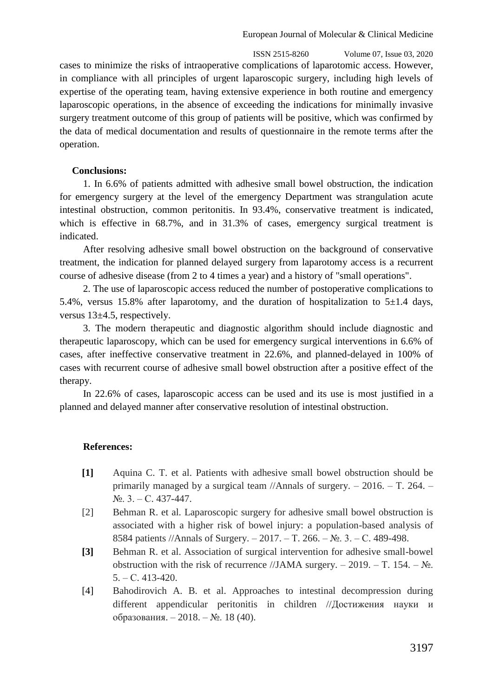ISSN 2515-8260 Volume 07, Issue 03, 2020 cases to minimize the risks of intraoperative complications of laparotomic access. However, in compliance with all principles of urgent laparoscopic surgery, including high levels of expertise of the operating team, having extensive experience in both routine and emergency laparoscopic operations, in the absence of exceeding the indications for minimally invasive surgery treatment outcome of this group of patients will be positive, which was confirmed by the data of medical documentation and results of questionnaire in the remote terms after the operation.

## **Conclusions:**

1. In 6.6% of patients admitted with adhesive small bowel obstruction, the indication for emergency surgery at the level of the emergency Department was strangulation acute intestinal obstruction, common peritonitis. In 93.4%, conservative treatment is indicated, which is effective in 68.7%, and in 31.3% of cases, emergency surgical treatment is indicated.

After resolving adhesive small bowel obstruction on the background of conservative treatment, the indication for planned delayed surgery from laparotomy access is a recurrent course of adhesive disease (from 2 to 4 times a year) and a history of "small operations".

2. The use of laparoscopic access reduced the number of postoperative complications to 5.4%, versus 15.8% after laparotomy, and the duration of hospitalization to  $5\pm1.4$  days, versus 13±4.5, respectively.

3. The modern therapeutic and diagnostic algorithm should include diagnostic and therapeutic laparoscopy, which can be used for emergency surgical interventions in 6.6% of cases, after ineffective conservative treatment in 22.6%, and planned-delayed in 100% of cases with recurrent course of adhesive small bowel obstruction after a positive effect of the therapy.

In 22.6% of cases, laparoscopic access can be used and its use is most justified in a planned and delayed manner after conservative resolution of intestinal obstruction.

## **References:**

- **[1]** Aquina C. T. et al. Patients with adhesive small bowel obstruction should be primarily managed by a surgical team //Annals of surgery. – 2016. – Т. 264. –  $N_2$ , 3. – C, 437-447.
- [2] Behman R. et al. Laparoscopic surgery for adhesive small bowel obstruction is associated with a higher risk of bowel injury: a population-based analysis of 8584 patients //Annals of Surgery. – 2017. – Т. 266. – №. 3. – С. 489-498.
- **[3]** Behman R. et al. Association of surgical intervention for adhesive small-bowel obstruction with the risk of recurrence //JAMA surgery. – 2019. – T. 154. –  $N_2$ .  $5. - C. 413 - 420.$
- [4] Bahodirovich A. B. et al. Approaches to intestinal decompression during different appendicular peritonitis in children //Достижения науки и образования. – 2018. – №. 18 (40).